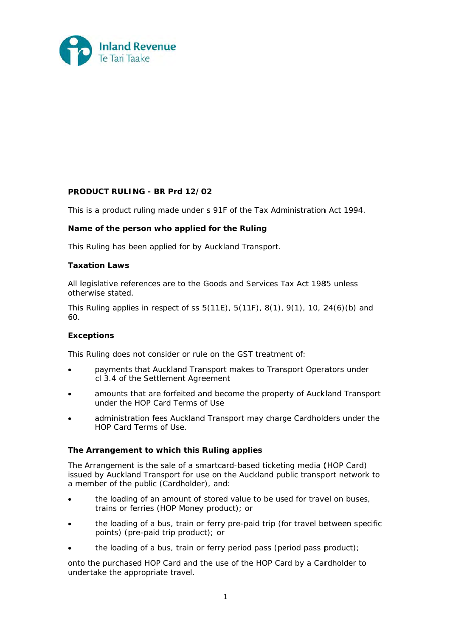

### **PRO ODUCT RU ULING - BR R Prd 12/0 02**

This is a product ruling made under s 91F of the Tax Administration Act 1994.

### Name of the person who applied for the Ruling

This Ruling has been applied for by Auckland Transport.

#### **Taxation Laws**

All legislative references are to the Goods and Services Tax Act 1985 unless otherwise stated.

This Ruling applies in respect of ss  $5(11E)$ ,  $5(11F)$ ,  $8(1)$ ,  $9(1)$ ,  $10$ ,  $24(6)(b)$  and 60.

### **Exc ceptions**

This Ruling does not consider or rule on the GST treatment of:

- $\bullet$ payments that Auckland Transport makes to Transport Operators under cl 3.4 of the Settlement Agreement
- $\bullet$ amounts that are forfeited and become the property of Auckland Transport under the HOP Card Terms of Use
- $\bullet$ administration fees Auckland Transport may charge Cardholders under the HOP Card Terms of Use.

### **The Arrangement to which this Ruling applies**

The Arrangement is the sale of a smartcard-based ticketing media (HOP Card) issued by Auckland Transport for use on the Auckland public transport network to a member of the public (Cardholder), and:

- $\bullet$ the loading of an amount of stored value to be used for travel on buses, trains or ferries (HOP Money product); or
- $\bullet$ the loading of a bus, train or ferry pre-paid trip (for travel between specific points) (pre-paid trip product); or
- $\bullet$ the loading of a bus, train or ferry period pass (period pass product);

onto the purchased HOP Card and the use of the HOP Card by a Cardholder to undertake the appropriate travel.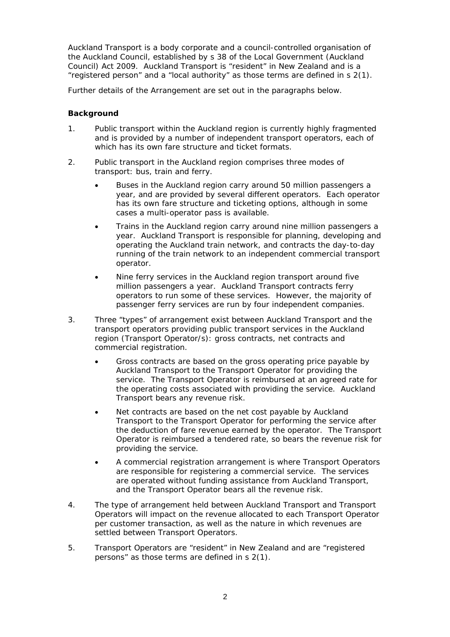Auckland Transport is a body corporate and a council-controlled organisation of the Auckland Council, established by s 38 of the Local Government (Auckland Council) Act 2009. Auckland Transport is "resident" in New Zealand and is a "registered person" and a "local authority" as those terms are defined in s 2(1).

Further details of the Arrangement are set out in the paragraphs below.

### **Background**

- 1. Public transport within the Auckland region is currently highly fragmented and is provided by a number of independent transport operators, each of which has its own fare structure and ticket formats.
- 2. Public transport in the Auckland region comprises three modes of transport: bus, train and ferry.
	- Buses in the Auckland region carry around 50 million passengers a year, and are provided by several different operators. Each operator has its own fare structure and ticketing options, although in some cases a multi-operator pass is available.
	- Trains in the Auckland region carry around nine million passengers a year. Auckland Transport is responsible for planning, developing and operating the Auckland train network, and contracts the day-to-day running of the train network to an independent commercial transport operator.
	- Nine ferry services in the Auckland region transport around five million passengers a year. Auckland Transport contracts ferry operators to run some of these services. However, the majority of passenger ferry services are run by four independent companies.
- 3. Three "types" of arrangement exist between Auckland Transport and the transport operators providing public transport services in the Auckland region (Transport Operator/s): gross contracts, net contracts and commercial registration.
	- Gross contracts are based on the gross operating price payable by Auckland Transport to the Transport Operator for providing the service. The Transport Operator is reimbursed at an agreed rate for the operating costs associated with providing the service. Auckland Transport bears any revenue risk.
	- Net contracts are based on the net cost payable by Auckland Transport to the Transport Operator for performing the service after the deduction of fare revenue earned by the operator. The Transport Operator is reimbursed a tendered rate, so bears the revenue risk for providing the service.
	- A commercial registration arrangement is where Transport Operators are responsible for registering a commercial service. The services are operated without funding assistance from Auckland Transport, and the Transport Operator bears all the revenue risk.
- 4. The type of arrangement held between Auckland Transport and Transport Operators will impact on the revenue allocated to each Transport Operator per customer transaction, as well as the nature in which revenues are settled between Transport Operators.
- 5. Transport Operators are "resident" in New Zealand and are "registered persons" as those terms are defined in s 2(1).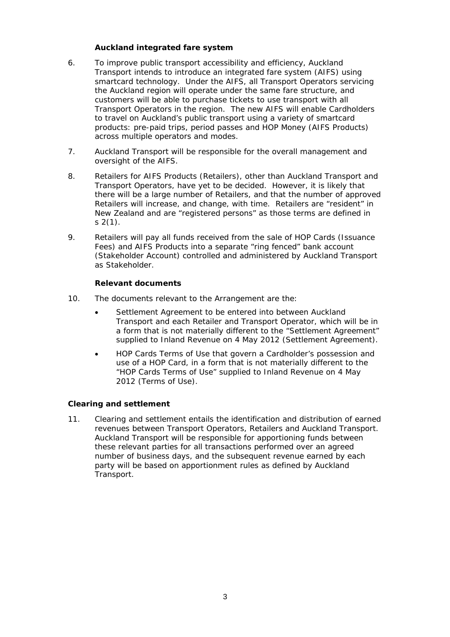# *Auckland integrated fare system*

- 6. To improve public transport accessibility and efficiency, Auckland Transport intends to introduce an integrated fare system (AIFS) using smartcard technology. Under the AIFS, all Transport Operators servicing the Auckland region will operate under the same fare structure, and customers will be able to purchase tickets to use transport with all Transport Operators in the region. The new AIFS will enable Cardholders to travel on Auckland's public transport using a variety of smartcard products: pre-paid trips, period passes and HOP Money (AIFS Products) across multiple operators and modes.
- 7. Auckland Transport will be responsible for the overall management and oversight of the AIFS.
- 8. Retailers for AIFS Products (Retailers), other than Auckland Transport and Transport Operators, have yet to be decided. However, it is likely that there will be a large number of Retailers, and that the number of approved Retailers will increase, and change, with time. Retailers are "resident" in New Zealand and are "registered persons" as those terms are defined in  $s$  2(1).
- 9. Retailers will pay all funds received from the sale of HOP Cards (Issuance Fees) and AIFS Products into a separate "ring fenced" bank account (Stakeholder Account) controlled and administered by Auckland Transport as Stakeholder.

# *Relevant documents*

- 10. The documents relevant to the Arrangement are the:
	- Settlement Agreement to be entered into between Auckland Transport and each Retailer and Transport Operator, which will be in a form that is not materially different to the "Settlement Agreement" supplied to Inland Revenue on 4 May 2012 (Settlement Agreement).
	- HOP Cards Terms of Use that govern a Cardholder's possession and use of a HOP Card, in a form that is not materially different to the "HOP Cards Terms of Use" supplied to Inland Revenue on 4 May 2012 (Terms of Use).

# **Clearing and settlement**

11. Clearing and settlement entails the identification and distribution of earned revenues between Transport Operators, Retailers and Auckland Transport. Auckland Transport will be responsible for apportioning funds between these relevant parties for all transactions performed over an agreed number of business days, and the subsequent revenue earned by each party will be based on apportionment rules as defined by Auckland Transport.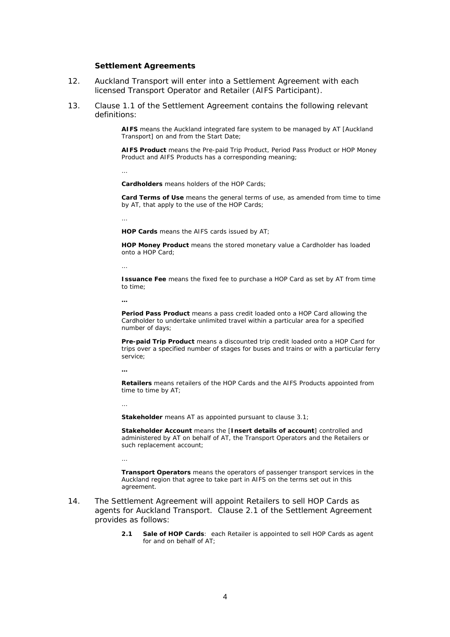#### *Settlement Agreements*

- 12. Auckland Transport will enter into a Settlement Agreement with each licensed Transport Operator and Retailer (AIFS Participant).
- 13. Clause 1.1 of the Settlement Agreement contains the following relevant definitions:

**AIFS** means the Auckland integrated fare system to be managed by AT [Auckland Transport] on and from the Start Date;

**AIFS Product** means the Pre-paid Trip Product, Period Pass Product or HOP Money Product and AIFS Products has a corresponding meaning;

**Cardholders** means holders of the HOP Cards;

**Card Terms of Use** means the general terms of use, as amended from time to time by AT, that apply to the use of the HOP Cards;

…

…

**HOP Cards** means the AIFS cards issued by AT;

**HOP Money Product** means the stored monetary value a Cardholder has loaded onto a HOP Card;

…

**Issuance Fee** means the fixed fee to purchase a HOP Card as set by AT from time to time;

**…**

**Period Pass Product** means a pass credit loaded onto a HOP Card allowing the Cardholder to undertake unlimited travel within a particular area for a specified number of days;

**Pre-paid Trip Product** means a discounted trip credit loaded onto a HOP Card for trips over a specified number of stages for buses and trains or with a particular ferry service;

**…** 

**Retailers** means retailers of the HOP Cards and the AIFS Products appointed from time to time by AT;

…

…

**Stakeholder** means AT as appointed pursuant to clause 3.1;

**Stakeholder Account** means the [*Insert details of account*] controlled and administered by AT on behalf of AT, the Transport Operators and the Retailers or such replacement account;

**Transport Operators** means the operators of passenger transport services in the Auckland region that agree to take part in AIFS on the terms set out in this agreement.

- 14. The Settlement Agreement will appoint Retailers to sell HOP Cards as agents for Auckland Transport. Clause 2.1 of the Settlement Agreement provides as follows:
	- **2.1 Sale of HOP Cards**: each Retailer is appointed to sell HOP Cards as agent for and on behalf of AT;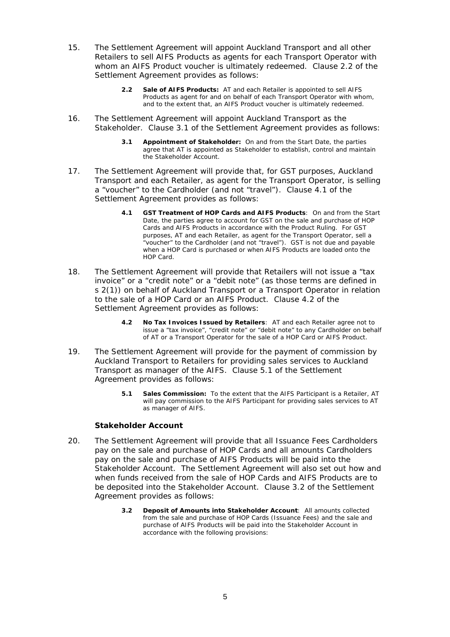- 15. The Settlement Agreement will appoint Auckland Transport and all other Retailers to sell AIFS Products as agents for each Transport Operator with whom an AIFS Product voucher is ultimately redeemed. Clause 2.2 of the Settlement Agreement provides as follows:
	- **2.2 Sale of AIFS Products:** AT and each Retailer is appointed to sell AIFS Products as agent for and on behalf of each Transport Operator with whom, and to the extent that, an AIFS Product voucher is ultimately redeemed.
- 16. The Settlement Agreement will appoint Auckland Transport as the Stakeholder. Clause 3.1 of the Settlement Agreement provides as follows:
	- **3.1 Appointment of Stakeholder:** On and from the Start Date, the parties agree that AT is appointed as Stakeholder to establish, control and maintain the Stakeholder Account.
- 17. The Settlement Agreement will provide that, for GST purposes, Auckland Transport and each Retailer, as agent for the Transport Operator, is selling a "voucher" to the Cardholder (and not "travel"). Clause 4.1 of the Settlement Agreement provides as follows:
	- **4.1 GST Treatment of HOP Cards and AIFS Products**: On and from the Start Date, the parties agree to account for GST on the sale and purchase of HOP Cards and AIFS Products in accordance with the Product Ruling. For GST purposes, AT and each Retailer, as agent for the Transport Operator, sell a "voucher" to the Cardholder (and not "travel"). GST is not due and payable when a HOP Card is purchased or when AIFS Products are loaded onto the HOP Card.
- 18. The Settlement Agreement will provide that Retailers will not issue a "tax invoice" or a "credit note" or a "debit note" (as those terms are defined in s 2(1)) on behalf of Auckland Transport or a Transport Operator in relation to the sale of a HOP Card or an AIFS Product. Clause 4.2 of the Settlement Agreement provides as follows:
	- **4.2 No Tax Invoices Issued by Retailers**: AT and each Retailer agree not to issue a "tax invoice", "credit note" or "debit note" to any Cardholder on behalf of AT or a Transport Operator for the sale of a HOP Card or AIFS Product.
- 19. The Settlement Agreement will provide for the payment of commission by Auckland Transport to Retailers for providing sales services to Auckland Transport as manager of the AIFS. Clause 5.1 of the Settlement Agreement provides as follows:
	- **5.1 Sales Commission:** To the extent that the AIFS Participant is a Retailer, AT will pay commission to the AIFS Participant for providing sales services to AT as manager of AIFS.

### *Stakeholder Account*

- 20. The Settlement Agreement will provide that all Issuance Fees Cardholders pay on the sale and purchase of HOP Cards and all amounts Cardholders pay on the sale and purchase of AIFS Products will be paid into the Stakeholder Account. The Settlement Agreement will also set out how and when funds received from the sale of HOP Cards and AIFS Products are to be deposited into the Stakeholder Account. Clause 3.2 of the Settlement Agreement provides as follows:
	- **3.2 Deposit of Amounts into Stakeholder Account**: All amounts collected from the sale and purchase of HOP Cards (Issuance Fees) and the sale and purchase of AIFS Products will be paid into the Stakeholder Account in accordance with the following provisions: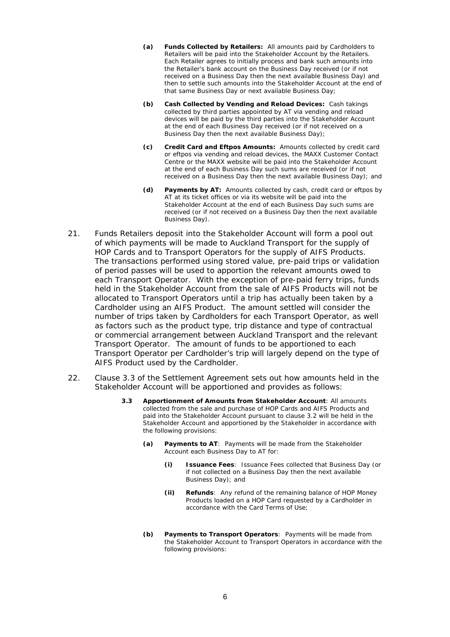- **(a) Funds Collected by Retailers:** All amounts paid by Cardholders to Retailers will be paid into the Stakeholder Account by the Retailers. Each Retailer agrees to initially process and bank such amounts into the Retailer's bank account on the Business Day received (or if not received on a Business Day then the next available Business Day) and then to settle such amounts into the Stakeholder Account at the end of that same Business Day or next available Business Day;
- **(b) Cash Collected by Vending and Reload Devices:** Cash takings collected by third parties appointed by AT via vending and reload devices will be paid by the third parties into the Stakeholder Account at the end of each Business Day received (or if not received on a Business Day then the next available Business Day);
- **(c) Credit Card and Eftpos Amounts:** Amounts collected by credit card or eftpos via vending and reload devices, the MAXX Customer Contact Centre or the MAXX website will be paid into the Stakeholder Account at the end of each Business Day such sums are received (or if not received on a Business Day then the next available Business Day); and
- **(d) Payments by AT:** Amounts collected by cash, credit card or eftpos by AT at its ticket offices or via its website will be paid into the Stakeholder Account at the end of each Business Day such sums are received (or if not received on a Business Day then the next available Business Day).
- 21. Funds Retailers deposit into the Stakeholder Account will form a pool out of which payments will be made to Auckland Transport for the supply of HOP Cards and to Transport Operators for the supply of AIFS Products. The transactions performed using stored value, pre-paid trips or validation of period passes will be used to apportion the relevant amounts owed to each Transport Operator. With the exception of pre-paid ferry trips, funds held in the Stakeholder Account from the sale of AIFS Products will not be allocated to Transport Operators until a trip has actually been taken by a Cardholder using an AIFS Product. The amount settled will consider the number of trips taken by Cardholders for each Transport Operator, as well as factors such as the product type, trip distance and type of contractual or commercial arrangement between Auckland Transport and the relevant Transport Operator. The amount of funds to be apportioned to each Transport Operator per Cardholder's trip will largely depend on the type of AIFS Product used by the Cardholder.
- 22. Clause 3.3 of the Settlement Agreement sets out how amounts held in the Stakeholder Account will be apportioned and provides as follows:
	- **3.3 Apportionment of Amounts from Stakeholder Account**: All amounts collected from the sale and purchase of HOP Cards and AIFS Products and paid into the Stakeholder Account pursuant to clause 3.2 will be held in the Stakeholder Account and apportioned by the Stakeholder in accordance with the following provisions:
		- **(a) Payments to AT**: Payments will be made from the Stakeholder Account each Business Day to AT for:
			- **(i) Issuance Fees**: Issuance Fees collected that Business Day (or if not collected on a Business Day then the next available Business Day); and
			- **(ii) Refunds**: Any refund of the remaining balance of HOP Money Products loaded on a HOP Card requested by a Cardholder in accordance with the Card Terms of Use;
		- **(b) Payments to Transport Operators**: Payments will be made from the Stakeholder Account to Transport Operators in accordance with the following provisions: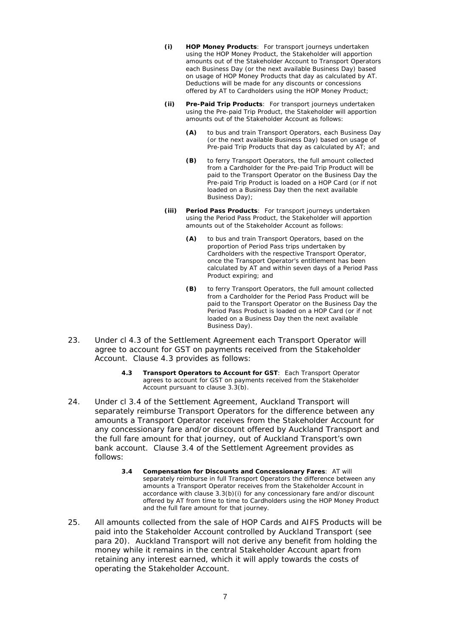- **(i) HOP Money Products**: For transport journeys undertaken using the HOP Money Product, the Stakeholder will apportion amounts out of the Stakeholder Account to Transport Operators each Business Day (or the next available Business Day) based on usage of HOP Money Products that day as calculated by AT. Deductions will be made for any discounts or concessions offered by AT to Cardholders using the HOP Money Product;
- **(ii) Pre-Paid Trip Products**: For transport journeys undertaken using the Pre-paid Trip Product, the Stakeholder will apportion amounts out of the Stakeholder Account as follows:
	- **(A)** to bus and train Transport Operators, each Business Day (or the next available Business Day) based on usage of Pre-paid Trip Products that day as calculated by AT; and
	- **(B)** to ferry Transport Operators, the full amount collected from a Cardholder for the Pre-paid Trip Product will be paid to the Transport Operator on the Business Day the Pre-paid Trip Product is loaded on a HOP Card (or if not loaded on a Business Day then the next available Business Day);
- **(iii) Period Pass Products**: For transport journeys undertaken using the Period Pass Product, the Stakeholder will apportion amounts out of the Stakeholder Account as follows:
	- **(A)** to bus and train Transport Operators, based on the proportion of Period Pass trips undertaken by Cardholders with the respective Transport Operator, once the Transport Operator's entitlement has been calculated by AT and within seven days of a Period Pass Product expiring; and
	- **(B)** to ferry Transport Operators, the full amount collected from a Cardholder for the Period Pass Product will be paid to the Transport Operator on the Business Day the Period Pass Product is loaded on a HOP Card (or if not loaded on a Business Day then the next available Business Day).
- 23. Under cl 4.3 of the Settlement Agreement each Transport Operator will agree to account for GST on payments received from the Stakeholder Account. Clause 4.3 provides as follows:
	- **4.3 Transport Operators to Account for GST**: Each Transport Operator agrees to account for GST on payments received from the Stakeholder Account pursuant to clause 3.3(b).
- 24. Under cl 3.4 of the Settlement Agreement, Auckland Transport will separately reimburse Transport Operators for the difference between any amounts a Transport Operator receives from the Stakeholder Account for any concessionary fare and/or discount offered by Auckland Transport and the full fare amount for that journey, out of Auckland Transport's own bank account. Clause 3.4 of the Settlement Agreement provides as follows:
	- **3.4 Compensation for Discounts and Concessionary Fares**: AT will separately reimburse in full Transport Operators the difference between any amounts a Transport Operator receives from the Stakeholder Account in accordance with clause 3.3(b)(i) for any concessionary fare and/or discount offered by AT from time to time to Cardholders using the HOP Money Product and the full fare amount for that journey.
- 25. All amounts collected from the sale of HOP Cards and AIFS Products will be paid into the Stakeholder Account controlled by Auckland Transport (see para 20). Auckland Transport will not derive any benefit from holding the money while it remains in the central Stakeholder Account apart from retaining any interest earned, which it will apply towards the costs of operating the Stakeholder Account.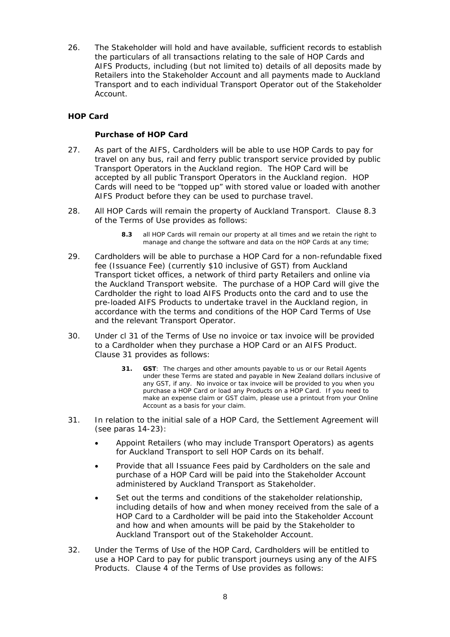26. The Stakeholder will hold and have available, sufficient records to establish the particulars of all transactions relating to the sale of HOP Cards and AIFS Products, including (but not limited to) details of all deposits made by Retailers into the Stakeholder Account and all payments made to Auckland Transport and to each individual Transport Operator out of the Stakeholder Account.

# **HOP Card**

### *Purchase of HOP Card*

- 27. As part of the AIFS, Cardholders will be able to use HOP Cards to pay for travel on any bus, rail and ferry public transport service provided by public Transport Operators in the Auckland region. The HOP Card will be accepted by all public Transport Operators in the Auckland region. HOP Cards will need to be "topped up" with stored value or loaded with another AIFS Product before they can be used to purchase travel.
- 28. All HOP Cards will remain the property of Auckland Transport. Clause 8.3 of the Terms of Use provides as follows:
	- **8.3** all HOP Cards will remain our property at all times and we retain the right to manage and change the software and data on the HOP Cards at any time;
- 29. Cardholders will be able to purchase a HOP Card for a non-refundable fixed fee (Issuance Fee) (currently \$10 inclusive of GST) from Auckland Transport ticket offices, a network of third party Retailers and online via the Auckland Transport website. The purchase of a HOP Card will give the Cardholder the right to load AIFS Products onto the card and to use the pre-loaded AIFS Products to undertake travel in the Auckland region, in accordance with the terms and conditions of the HOP Card Terms of Use and the relevant Transport Operator.
- 30. Under cl 31 of the Terms of Use no invoice or tax invoice will be provided to a Cardholder when they purchase a HOP Card or an AIFS Product. Clause 31 provides as follows:
	- **31. GST**: The charges and other amounts payable to us or our Retail Agents under these Terms are stated and payable in New Zealand dollars inclusive of any GST, if any. No invoice or tax invoice will be provided to you when you purchase a HOP Card or load any Products on a HOP Card. If you need to make an expense claim or GST claim, please use a printout from your Online Account as a basis for your claim.
- 31. In relation to the initial sale of a HOP Card, the Settlement Agreement will (see paras 14-23):
	- Appoint Retailers (who may include Transport Operators) as agents for Auckland Transport to sell HOP Cards on its behalf.
	- Provide that all Issuance Fees paid by Cardholders on the sale and purchase of a HOP Card will be paid into the Stakeholder Account administered by Auckland Transport as Stakeholder.
	- Set out the terms and conditions of the stakeholder relationship, including details of how and when money received from the sale of a HOP Card to a Cardholder will be paid into the Stakeholder Account and how and when amounts will be paid by the Stakeholder to Auckland Transport out of the Stakeholder Account.
- 32. Under the Terms of Use of the HOP Card, Cardholders will be entitled to use a HOP Card to pay for public transport journeys using any of the AIFS Products. Clause 4 of the Terms of Use provides as follows: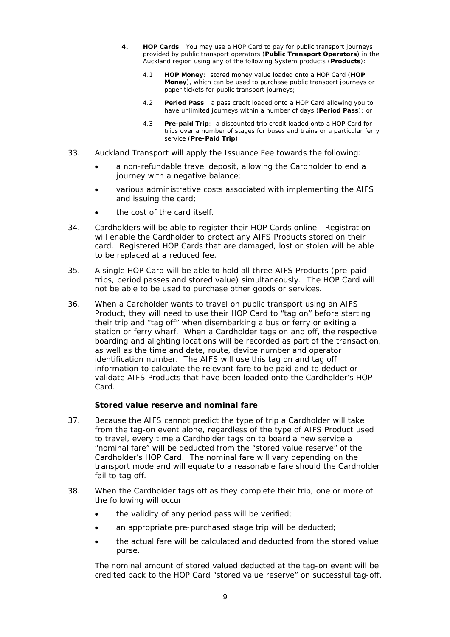- **4. HOP Cards**: You may use a HOP Card to pay for public transport journeys provided by public transport operators (**Public Transport Operators**) in the Auckland region using any of the following System products (**Products**):
	- 4.1 **HOP Money**: stored money value loaded onto a HOP Card (**HOP Money**), which can be used to purchase public transport journeys or paper tickets for public transport journeys;
	- 4.2 **Period Pass**: a pass credit loaded onto a HOP Card allowing you to have unlimited journeys within a number of days (**Period Pass**); or
	- 4.3 **Pre-paid Trip**: a discounted trip credit loaded onto a HOP Card for trips over a number of stages for buses and trains or a particular ferry service (**Pre-Paid Trip**).
- 33. Auckland Transport will apply the Issuance Fee towards the following:
	- a non-refundable travel deposit, allowing the Cardholder to end a journey with a negative balance;
	- various administrative costs associated with implementing the AIFS and issuing the card;
	- the cost of the card itself.
- 34. Cardholders will be able to register their HOP Cards online. Registration will enable the Cardholder to protect any AIFS Products stored on their card. Registered HOP Cards that are damaged, lost or stolen will be able to be replaced at a reduced fee.
- 35. A single HOP Card will be able to hold all three AIFS Products (pre-paid trips, period passes and stored value) simultaneously. The HOP Card will not be able to be used to purchase other goods or services.
- 36. When a Cardholder wants to travel on public transport using an AIFS Product, they will need to use their HOP Card to "tag on" before starting their trip and "tag off" when disembarking a bus or ferry or exiting a station or ferry wharf. When a Cardholder tags on and off, the respective boarding and alighting locations will be recorded as part of the transaction, as well as the time and date, route, device number and operator identification number. The AIFS will use this tag on and tag off information to calculate the relevant fare to be paid and to deduct or validate AIFS Products that have been loaded onto the Cardholder's HOP Card.

### *Stored value reserve and nominal fare*

- 37. Because the AIFS cannot predict the type of trip a Cardholder will take from the tag-on event alone, regardless of the type of AIFS Product used to travel, every time a Cardholder tags on to board a new service a "nominal fare" will be deducted from the "stored value reserve" of the Cardholder's HOP Card. The nominal fare will vary depending on the transport mode and will equate to a reasonable fare should the Cardholder fail to tag off.
- 38. When the Cardholder tags off as they complete their trip, one or more of the following will occur:
	- the validity of any period pass will be verified;
	- an appropriate pre-purchased stage trip will be deducted;
	- the actual fare will be calculated and deducted from the stored value purse.

The nominal amount of stored valued deducted at the tag-on event will be credited back to the HOP Card "stored value reserve" on successful tag-off.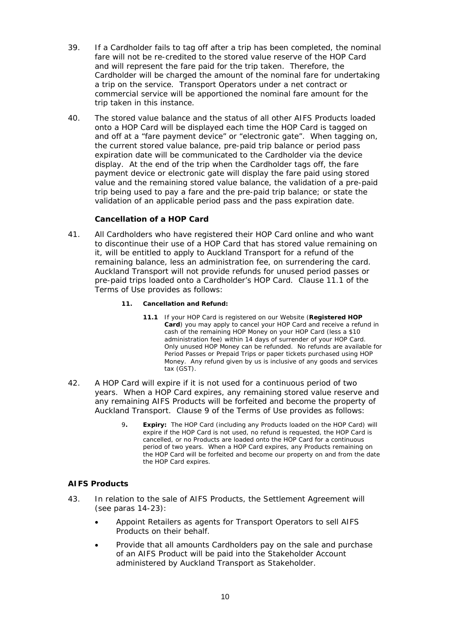- 39. If a Cardholder fails to tag off after a trip has been completed, the nominal fare will not be re-credited to the stored value reserve of the HOP Card and will represent the fare paid for the trip taken. Therefore, the Cardholder will be charged the amount of the nominal fare for undertaking a trip on the service. Transport Operators under a net contract or commercial service will be apportioned the nominal fare amount for the trip taken in this instance.
- 40. The stored value balance and the status of all other AIFS Products loaded onto a HOP Card will be displayed each time the HOP Card is tagged on and off at a "fare payment device" or "electronic gate". When tagging on, the current stored value balance, pre-paid trip balance or period pass expiration date will be communicated to the Cardholder via the device display. At the end of the trip when the Cardholder tags off, the fare payment device or electronic gate will display the fare paid using stored value and the remaining stored value balance, the validation of a pre-paid trip being used to pay a fare and the pre-paid trip balance; or state the validation of an applicable period pass and the pass expiration date.

# *Cancellation of a HOP Card*

- 41. All Cardholders who have registered their HOP Card online and who want to discontinue their use of a HOP Card that has stored value remaining on it, will be entitled to apply to Auckland Transport for a refund of the remaining balance, less an administration fee, on surrendering the card. Auckland Transport will not provide refunds for unused period passes or pre-paid trips loaded onto a Cardholder's HOP Card. Clause 11.1 of the Terms of Use provides as follows:
	- **11. Cancellation and Refund:** 
		- **11.1** If your HOP Card is registered on our Website (**Registered HOP Card**) you may apply to cancel your HOP Card and receive a refund in cash of the remaining HOP Money on your HOP Card (less a \$10 administration fee) within 14 days of surrender of your HOP Card. Only unused HOP Money can be refunded. No refunds are available for Period Passes or Prepaid Trips or paper tickets purchased using HOP Money. Any refund given by us is inclusive of any goods and services tax (GST).
- 42. A HOP Card will expire if it is not used for a continuous period of two years. When a HOP Card expires, any remaining stored value reserve and any remaining AIFS Products will be forfeited and become the property of Auckland Transport. Clause 9 of the Terms of Use provides as follows:
	- 9**. Expiry:** The HOP Card (including any Products loaded on the HOP Card) will expire if the HOP Card is not used, no refund is requested, the HOP Card is cancelled, or no Products are loaded onto the HOP Card for a continuous period of two years. When a HOP Card expires, any Products remaining on the HOP Card will be forfeited and become our property on and from the date the HOP Card expires.

# **AIFS Products**

- 43. In relation to the sale of AIFS Products, the Settlement Agreement will (see paras 14-23):
	- Appoint Retailers as agents for Transport Operators to sell AIFS Products on their behalf.
	- Provide that all amounts Cardholders pay on the sale and purchase of an AIFS Product will be paid into the Stakeholder Account administered by Auckland Transport as Stakeholder.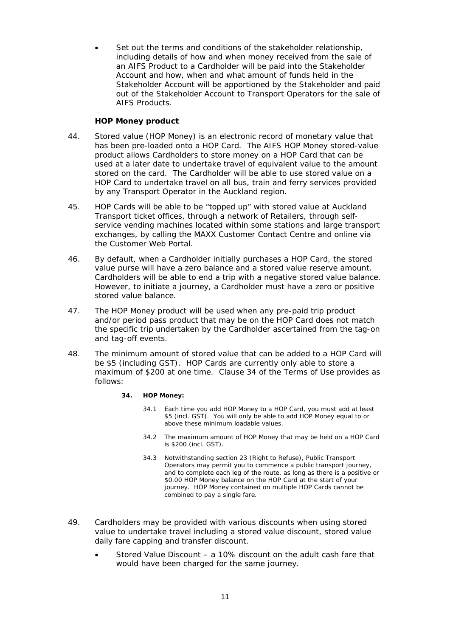Set out the terms and conditions of the stakeholder relationship, including details of how and when money received from the sale of an AIFS Product to a Cardholder will be paid into the Stakeholder Account and how, when and what amount of funds held in the Stakeholder Account will be apportioned by the Stakeholder and paid out of the Stakeholder Account to Transport Operators for the sale of AIFS Products.

# *HOP Money product*

- 44. Stored value (HOP Money) is an electronic record of monetary value that has been pre-loaded onto a HOP Card. The AIFS HOP Money stored-value product allows Cardholders to store money on a HOP Card that can be used at a later date to undertake travel of equivalent value to the amount stored on the card. The Cardholder will be able to use stored value on a HOP Card to undertake travel on all bus, train and ferry services provided by any Transport Operator in the Auckland region.
- 45. HOP Cards will be able to be "topped up" with stored value at Auckland Transport ticket offices, through a network of Retailers, through selfservice vending machines located within some stations and large transport exchanges, by calling the MAXX Customer Contact Centre and online via the Customer Web Portal.
- 46. By default, when a Cardholder initially purchases a HOP Card, the stored value purse will have a zero balance and a stored value reserve amount. Cardholders will be able to end a trip with a negative stored value balance. However, to initiate a journey, a Cardholder must have a zero or positive stored value balance.
- 47. The HOP Money product will be used when any pre-paid trip product and/or period pass product that may be on the HOP Card does not match the specific trip undertaken by the Cardholder ascertained from the tag-on and tag-off events.
- 48. The minimum amount of stored value that can be added to a HOP Card will be \$5 (including GST). HOP Cards are currently only able to store a maximum of \$200 at one time. Clause 34 of the Terms of Use provides as follows:

#### **34. HOP Money:**

- 34.1 Each time you add HOP Money to a HOP Card, you must add at least \$5 (incl. GST). You will only be able to add HOP Money equal to or above these minimum loadable values.
- 34.2 The maximum amount of HOP Money that may be held on a HOP Card is \$200 (incl. GST).
- 34.3 Notwithstanding section 23 (Right to Refuse), Public Transport Operators may permit you to commence a public transport journey, and to complete each leg of the route, as long as there is a positive or \$0.00 HOP Money balance on the HOP Card at the start of your journey. HOP Money contained on multiple HOP Cards cannot be combined to pay a single fare.
- 49. Cardholders may be provided with various discounts when using stored value to undertake travel including a stored value discount, stored value daily fare capping and transfer discount.
	- Stored Value Discount a 10% discount on the adult cash fare that would have been charged for the same journey.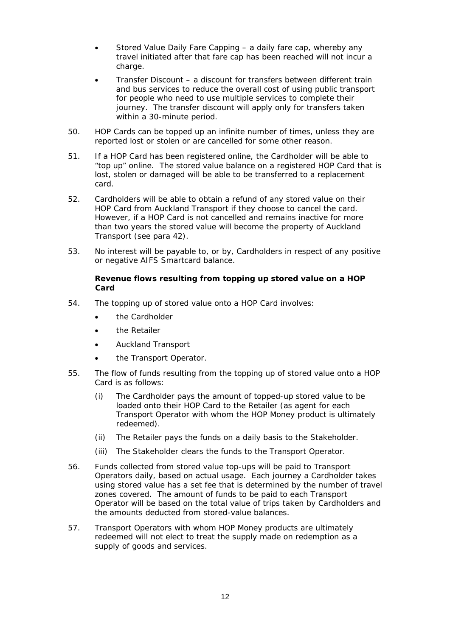- Stored Value Daily Fare Capping a daily fare cap, whereby any travel initiated after that fare cap has been reached will not incur a charge.
- Transfer Discount a discount for transfers between different train and bus services to reduce the overall cost of using public transport for people who need to use multiple services to complete their journey. The transfer discount will apply only for transfers taken within a 30-minute period.
- 50. HOP Cards can be topped up an infinite number of times, unless they are reported lost or stolen or are cancelled for some other reason.
- 51. If a HOP Card has been registered online, the Cardholder will be able to "top up" online. The stored value balance on a registered HOP Card that is lost, stolen or damaged will be able to be transferred to a replacement card.
- 52. Cardholders will be able to obtain a refund of any stored value on their HOP Card from Auckland Transport if they choose to cancel the card. However, if a HOP Card is not cancelled and remains inactive for more than two years the stored value will become the property of Auckland Transport (see para 42).
- 53. No interest will be payable to, or by, Cardholders in respect of any positive or negative AIFS Smartcard balance.

# *Revenue flows resulting from topping up stored value on a HOP Card*

- 54. The topping up of stored value onto a HOP Card involves:
	- the Cardholder
	- the Retailer
	- Auckland Transport
	- the Transport Operator.
- 55. The flow of funds resulting from the topping up of stored value onto a HOP Card is as follows:
	- (i) The Cardholder pays the amount of topped-up stored value to be loaded onto their HOP Card to the Retailer (as agent for each Transport Operator with whom the HOP Money product is ultimately redeemed).
	- (ii) The Retailer pays the funds on a daily basis to the Stakeholder.
	- (iii) The Stakeholder clears the funds to the Transport Operator.
- 56. Funds collected from stored value top-ups will be paid to Transport Operators daily, based on actual usage. Each journey a Cardholder takes using stored value has a set fee that is determined by the number of travel zones covered. The amount of funds to be paid to each Transport Operator will be based on the total value of trips taken by Cardholders and the amounts deducted from stored-value balances.
- 57. Transport Operators with whom HOP Money products are ultimately redeemed will not elect to treat the supply made on redemption as a supply of goods and services.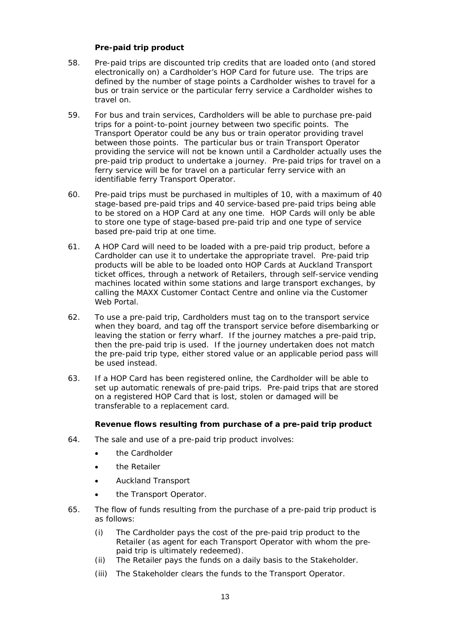# *Pre-paid trip product*

- 58. Pre-paid trips are discounted trip credits that are loaded onto (and stored electronically on) a Cardholder's HOP Card for future use. The trips are defined by the number of stage points a Cardholder wishes to travel for a bus or train service or the particular ferry service a Cardholder wishes to travel on.
- 59. For bus and train services, Cardholders will be able to purchase pre-paid trips for a point-to-point journey between two specific points. The Transport Operator could be any bus or train operator providing travel between those points. The particular bus or train Transport Operator providing the service will not be known until a Cardholder actually uses the pre-paid trip product to undertake a journey. Pre-paid trips for travel on a ferry service will be for travel on a particular ferry service with an identifiable ferry Transport Operator.
- 60. Pre-paid trips must be purchased in multiples of 10, with a maximum of 40 stage-based pre-paid trips and 40 service-based pre-paid trips being able to be stored on a HOP Card at any one time. HOP Cards will only be able to store one type of stage-based pre-paid trip and one type of service based pre-paid trip at one time.
- 61. A HOP Card will need to be loaded with a pre-paid trip product, before a Cardholder can use it to undertake the appropriate travel. Pre-paid trip products will be able to be loaded onto HOP Cards at Auckland Transport ticket offices, through a network of Retailers, through self-service vending machines located within some stations and large transport exchanges, by calling the MAXX Customer Contact Centre and online via the Customer Web Portal.
- 62. To use a pre-paid trip, Cardholders must tag on to the transport service when they board, and tag off the transport service before disembarking or leaving the station or ferry wharf. If the journey matches a pre-paid trip, then the pre-paid trip is used. If the journey undertaken does not match the pre-paid trip type, either stored value or an applicable period pass will be used instead.
- 63. If a HOP Card has been registered online, the Cardholder will be able to set up automatic renewals of pre-paid trips. Pre-paid trips that are stored on a registered HOP Card that is lost, stolen or damaged will be transferable to a replacement card.

### *Revenue flows resulting from purchase of a pre-paid trip product*

- 64. The sale and use of a pre-paid trip product involves:
	- the Cardholder
	- the Retailer
	- Auckland Transport
	- the Transport Operator.
- 65. The flow of funds resulting from the purchase of a pre-paid trip product is as follows:
	- (i) The Cardholder pays the cost of the pre-paid trip product to the Retailer (as agent for each Transport Operator with whom the prepaid trip is ultimately redeemed).
	- (ii) The Retailer pays the funds on a daily basis to the Stakeholder.
	- (iii) The Stakeholder clears the funds to the Transport Operator.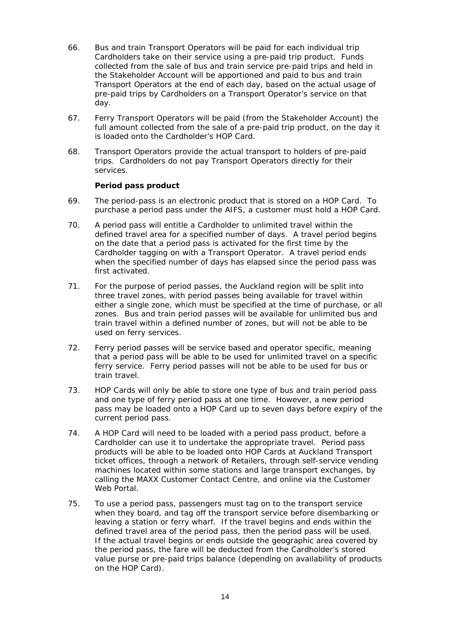- 66. Bus and train Transport Operators will be paid for each individual trip Cardholders take on their service using a pre-paid trip product. Funds collected from the sale of bus and train service pre-paid trips and held in the Stakeholder Account will be apportioned and paid to bus and train Transport Operators at the end of each day, based on the actual usage of pre-paid trips by Cardholders on a Transport Operator's service on that day.
- 67. Ferry Transport Operators will be paid (from the Stakeholder Account) the full amount collected from the sale of a pre-paid trip product, on the day it is loaded onto the Cardholder's HOP Card.
- 68. Transport Operators provide the actual transport to holders of pre-paid trips. Cardholders do not pay Transport Operators directly for their services.

#### **Period pass product**

- 69. The period-pass is an electronic product that is stored on a HOP Card. To purchase a period pass under the AIFS, a customer must hold a HOP Card.
- 70. A period pass will entitle a Cardholder to unlimited travel within the defined travel area for a specified number of days. A travel period begins on the date that a period pass is activated for the first time by the Cardholder tagging on with a Transport Operator. A travel period ends when the specified number of days has elapsed since the period pass was first activated.
- 71. For the purpose of period passes, the Auckland region will be split into three travel zones, with period passes being available for travel within either a single zone, which must be specified at the time of purchase, or all zones. Bus and train period passes will be available for unlimited bus and train travel within a defined number of zones, but will not be able to be used on ferry services.
- 72. Ferry period passes will be service based and operator specific, meaning that a period pass will be able to be used for unlimited travel on a specific ferry service. Ferry period passes will not be able to be used for bus or train travel.
- 73. HOP Cards will only be able to store one type of bus and train period pass and one type of ferry period pass at one time. However, a new period pass may be loaded onto a HOP Card up to seven days before expiry of the current period pass.
- 74. A HOP Card will need to be loaded with a period pass product, before a Cardholder can use it to undertake the appropriate travel. Period pass products will be able to be loaded onto HOP Cards at Auckland Transport ticket offices, through a network of Retailers, through self-service vending machines located within some stations and large transport exchanges, by calling the MAXX Customer Contact Centre, and online via the Customer Web Portal.
- 75. To use a period pass, passengers must tag on to the transport service when they board, and tag off the transport service before disembarking or leaving a station or ferry wharf. If the travel begins and ends within the defined travel area of the period pass, then the period pass will be used. If the actual travel begins or ends outside the geographic area covered by the period pass, the fare will be deducted from the Cardholder's stored value purse or pre-paid trips balance (depending on availability of products on the HOP Card).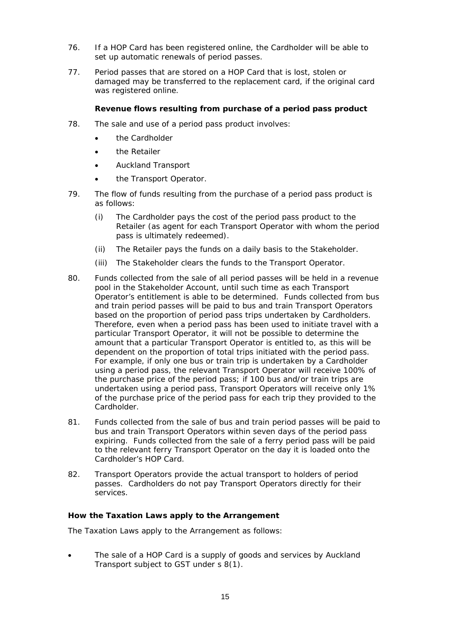- 76. If a HOP Card has been registered online, the Cardholder will be able to set up automatic renewals of period passes.
- 77. Period passes that are stored on a HOP Card that is lost, stolen or damaged may be transferred to the replacement card, if the original card was registered online.

# *Revenue flows resulting from purchase of a period pass product*

- 78. The sale and use of a period pass product involves:
	- the Cardholder
	- **•** the Retailer
	- Auckland Transport
	- the Transport Operator.
- 79. The flow of funds resulting from the purchase of a period pass product is as follows:
	- (i) The Cardholder pays the cost of the period pass product to the Retailer (as agent for each Transport Operator with whom the period pass is ultimately redeemed).
	- (ii) The Retailer pays the funds on a daily basis to the Stakeholder.
	- (iii) The Stakeholder clears the funds to the Transport Operator.
- 80. Funds collected from the sale of all period passes will be held in a revenue pool in the Stakeholder Account, until such time as each Transport Operator's entitlement is able to be determined. Funds collected from bus and train period passes will be paid to bus and train Transport Operators based on the proportion of period pass trips undertaken by Cardholders. Therefore, even when a period pass has been used to initiate travel with a particular Transport Operator, it will not be possible to determine the amount that a particular Transport Operator is entitled to, as this will be dependent on the proportion of total trips initiated with the period pass. For example, if only one bus or train trip is undertaken by a Cardholder using a period pass, the relevant Transport Operator will receive 100% of the purchase price of the period pass; if 100 bus and/or train trips are undertaken using a period pass, Transport Operators will receive only 1% of the purchase price of the period pass for each trip they provided to the Cardholder.
- 81. Funds collected from the sale of bus and train period passes will be paid to bus and train Transport Operators within seven days of the period pass expiring. Funds collected from the sale of a ferry period pass will be paid to the relevant ferry Transport Operator on the day it is loaded onto the Cardholder's HOP Card.
- 82. Transport Operators provide the actual transport to holders of period passes. Cardholders do not pay Transport Operators directly for their services.

### **How the Taxation Laws apply to the Arrangement**

The Taxation Laws apply to the Arrangement as follows:

 The sale of a HOP Card is a supply of goods and services by Auckland Transport subject to GST under s 8(1).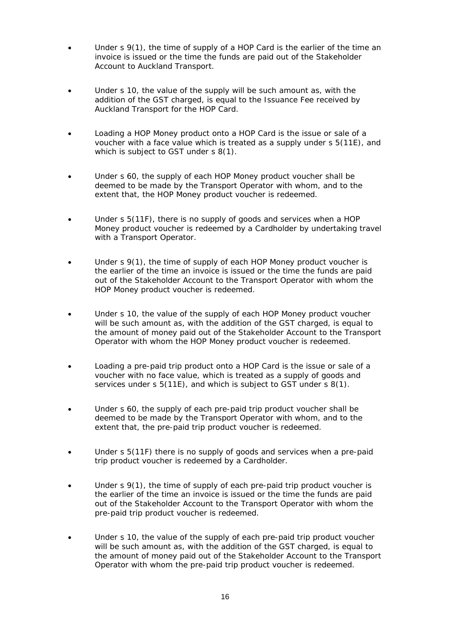- Under s 9(1), the time of supply of a HOP Card is the earlier of the time an invoice is issued or the time the funds are paid out of the Stakeholder Account to Auckland Transport.
- Under s 10, the value of the supply will be such amount as, with the addition of the GST charged, is equal to the Issuance Fee received by Auckland Transport for the HOP Card.
- Loading a HOP Money product onto a HOP Card is the issue or sale of a voucher with a face value which is treated as a supply under s 5(11E), and which is subject to GST under s 8(1).
- Under s 60, the supply of each HOP Money product voucher shall be deemed to be made by the Transport Operator with whom, and to the extent that, the HOP Money product voucher is redeemed.
- Under s 5(11F), there is no supply of goods and services when a HOP Money product voucher is redeemed by a Cardholder by undertaking travel with a Transport Operator.
- Under s 9(1), the time of supply of each HOP Money product voucher is the earlier of the time an invoice is issued or the time the funds are paid out of the Stakeholder Account to the Transport Operator with whom the HOP Money product voucher is redeemed.
- Under s 10, the value of the supply of each HOP Money product voucher will be such amount as, with the addition of the GST charged, is equal to the amount of money paid out of the Stakeholder Account to the Transport Operator with whom the HOP Money product voucher is redeemed.
- Loading a pre-paid trip product onto a HOP Card is the issue or sale of a voucher with no face value, which is treated as a supply of goods and services under s 5(11E), and which is subject to GST under s 8(1).
- Under s 60, the supply of each pre-paid trip product voucher shall be deemed to be made by the Transport Operator with whom, and to the extent that, the pre-paid trip product voucher is redeemed.
- Under s 5(11F) there is no supply of goods and services when a pre-paid trip product voucher is redeemed by a Cardholder.
- Under s 9(1), the time of supply of each pre-paid trip product voucher is the earlier of the time an invoice is issued or the time the funds are paid out of the Stakeholder Account to the Transport Operator with whom the pre-paid trip product voucher is redeemed.
- Under s 10, the value of the supply of each pre-paid trip product voucher will be such amount as, with the addition of the GST charged, is equal to the amount of money paid out of the Stakeholder Account to the Transport Operator with whom the pre-paid trip product voucher is redeemed.